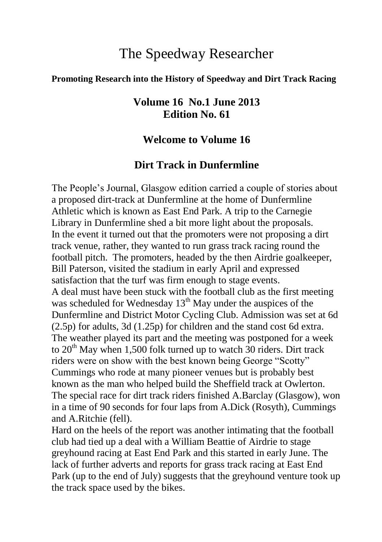# The Speedway Researcher

#### **Promoting Research into the History of Speedway and Dirt Track Racing**

### **Volume 16 No.1 June 2013 Edition No. 61**

#### **Welcome to Volume 16**

#### **Dirt Track in Dunfermline**

The People's Journal, Glasgow edition carried a couple of stories about a proposed dirt-track at Dunfermline at the home of Dunfermline Athletic which is known as East End Park. A trip to the Carnegie Library in Dunfermline shed a bit more light about the proposals. In the event it turned out that the promoters were not proposing a dirt track venue, rather, they wanted to run grass track racing round the football pitch. The promoters, headed by the then Airdrie goalkeeper, Bill Paterson, visited the stadium in early April and expressed satisfaction that the turf was firm enough to stage events. A deal must have been stuck with the football club as the first meeting was scheduled for Wednesday 13<sup>th</sup> May under the auspices of the Dunfermline and District Motor Cycling Club. Admission was set at 6d (2.5p) for adults, 3d (1.25p) for children and the stand cost 6d extra. The weather played its part and the meeting was postponed for a week to  $20<sup>th</sup>$  May when 1,500 folk turned up to watch  $30$  riders. Dirt track riders were on show with the best known being George "Scotty" Cummings who rode at many pioneer venues but is probably best known as the man who helped build the Sheffield track at Owlerton. The special race for dirt track riders finished A.Barclay (Glasgow), won in a time of 90 seconds for four laps from A.Dick (Rosyth), Cummings and A.Ritchie (fell).

Hard on the heels of the report was another intimating that the football club had tied up a deal with a William Beattie of Airdrie to stage greyhound racing at East End Park and this started in early June. The lack of further adverts and reports for grass track racing at East End Park (up to the end of July) suggests that the greyhound venture took up the track space used by the bikes.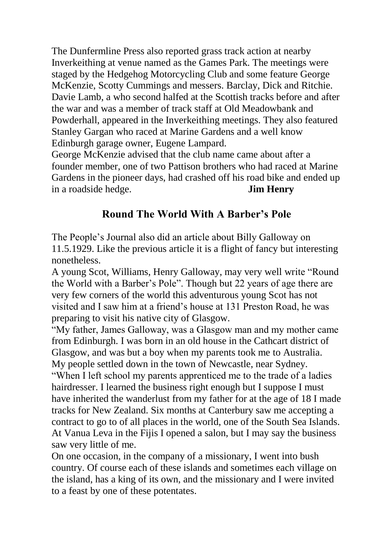The Dunfermline Press also reported grass track action at nearby Inverkeithing at venue named as the Games Park. The meetings were staged by the Hedgehog Motorcycling Club and some feature George McKenzie, Scotty Cummings and messers. Barclay, Dick and Ritchie. Davie Lamb, a who second halfed at the Scottish tracks before and after the war and was a member of track staff at Old Meadowbank and Powderhall, appeared in the Inverkeithing meetings. They also featured Stanley Gargan who raced at Marine Gardens and a well know Edinburgh garage owner, Eugene Lampard.

George McKenzie advised that the club name came about after a founder member, one of two Pattison brothers who had raced at Marine Gardens in the pioneer days, had crashed off his road bike and ended up in a roadside hedge. **Jim Henry**

### **Round The World With A Barber's Pole**

The People's Journal also did an article about Billy Galloway on 11.5.1929. Like the previous article it is a flight of fancy but interesting nonetheless.

A young Scot, Williams, Henry Galloway, may very well write "Round the World with a Barber's Pole". Though but 22 years of age there are very few corners of the world this adventurous young Scot has not visited and I saw him at a friend's house at 131 Preston Road, he was preparing to visit his native city of Glasgow.

"My father, James Galloway, was a Glasgow man and my mother came from Edinburgh. I was born in an old house in the Cathcart district of Glasgow, and was but a boy when my parents took me to Australia. My people settled down in the town of Newcastle, near Sydney.

"When I left school my parents apprenticed me to the trade of a ladies hairdresser. I learned the business right enough but I suppose I must have inherited the wanderlust from my father for at the age of 18 I made tracks for New Zealand. Six months at Canterbury saw me accepting a contract to go to of all places in the world, one of the South Sea Islands. At Vanua Leva in the Fijis I opened a salon, but I may say the business saw very little of me.

On one occasion, in the company of a missionary, I went into bush country. Of course each of these islands and sometimes each village on the island, has a king of its own, and the missionary and I were invited to a feast by one of these potentates.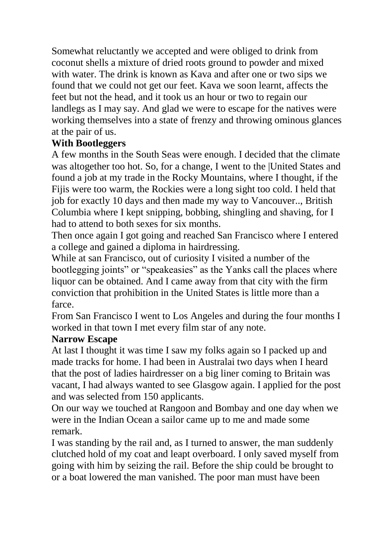Somewhat reluctantly we accepted and were obliged to drink from coconut shells a mixture of dried roots ground to powder and mixed with water. The drink is known as Kava and after one or two sips we found that we could not get our feet. Kava we soon learnt, affects the feet but not the head, and it took us an hour or two to regain our landlegs as I may say. And glad we were to escape for the natives were working themselves into a state of frenzy and throwing ominous glances at the pair of us.

### **With Bootleggers**

A few months in the South Seas were enough. I decided that the climate was altogether too hot. So, for a change, I went to the |United States and found a job at my trade in the Rocky Mountains, where I thought, if the Fijis were too warm, the Rockies were a long sight too cold. I held that job for exactly 10 days and then made my way to Vancouver.., British Columbia where I kept snipping, bobbing, shingling and shaving, for I had to attend to both sexes for six months.

Then once again I got going and reached San Francisco where I entered a college and gained a diploma in hairdressing.

While at san Francisco, out of curiosity I visited a number of the bootlegging joints" or "speakeasies" as the Yanks call the places where liquor can be obtained. And I came away from that city with the firm conviction that prohibition in the United States is little more than a farce.

From San Francisco I went to Los Angeles and during the four months I worked in that town I met every film star of any note.

### **Narrow Escape**

At last I thought it was time I saw my folks again so I packed up and made tracks for home. I had been in Australai two days when I heard that the post of ladies hairdresser on a big liner coming to Britain was vacant, I had always wanted to see Glasgow again. I applied for the post and was selected from 150 applicants.

On our way we touched at Rangoon and Bombay and one day when we were in the Indian Ocean a sailor came up to me and made some remark.

I was standing by the rail and, as I turned to answer, the man suddenly clutched hold of my coat and leapt overboard. I only saved myself from going with him by seizing the rail. Before the ship could be brought to or a boat lowered the man vanished. The poor man must have been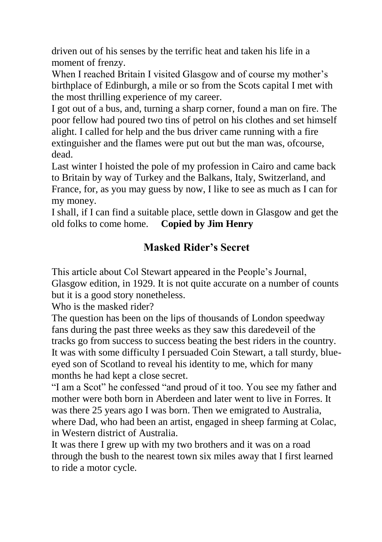driven out of his senses by the terrific heat and taken his life in a moment of frenzy.

When I reached Britain I visited Glasgow and of course my mother's birthplace of Edinburgh, a mile or so from the Scots capital I met with the most thrilling experience of my career.

I got out of a bus, and, turning a sharp corner, found a man on fire. The poor fellow had poured two tins of petrol on his clothes and set himself alight. I called for help and the bus driver came running with a fire extinguisher and the flames were put out but the man was, ofcourse, dead.

Last winter I hoisted the pole of my profession in Cairo and came back to Britain by way of Turkey and the Balkans, Italy, Switzerland, and France, for, as you may guess by now, I like to see as much as I can for my money.

I shall, if I can find a suitable place, settle down in Glasgow and get the old folks to come home. **Copied by Jim Henry**

## **Masked Rider's Secret**

This article about Col Stewart appeared in the People's Journal, Glasgow edition, in 1929. It is not quite accurate on a number of counts but it is a good story nonetheless.

Who is the masked rider?

The question has been on the lips of thousands of London speedway fans during the past three weeks as they saw this daredeveil of the tracks go from success to success beating the best riders in the country. It was with some difficulty I persuaded Coin Stewart, a tall sturdy, blueeyed son of Scotland to reveal his identity to me, which for many months he had kept a close secret.

"I am a Scot" he confessed "and proud of it too. You see my father and mother were both born in Aberdeen and later went to live in Forres. It was there 25 years ago I was born. Then we emigrated to Australia, where Dad, who had been an artist, engaged in sheep farming at Colac, in Western district of Australia.

It was there I grew up with my two brothers and it was on a road through the bush to the nearest town six miles away that I first learned to ride a motor cycle.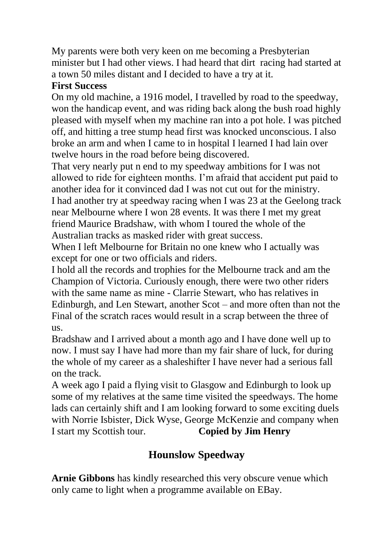My parents were both very keen on me becoming a Presbyterian minister but I had other views. I had heard that dirt racing had started at a town 50 miles distant and I decided to have a try at it.

#### **First Success**

On my old machine, a 1916 model, I travelled by road to the speedway, won the handicap event, and was riding back along the bush road highly pleased with myself when my machine ran into a pot hole. I was pitched off, and hitting a tree stump head first was knocked unconscious. I also broke an arm and when I came to in hospital I learned I had lain over twelve hours in the road before being discovered.

That very nearly put n end to my speedway ambitions for I was not allowed to ride for eighteen months. I'm afraid that accident put paid to another idea for it convinced dad I was not cut out for the ministry. I had another try at speedway racing when I was 23 at the Geelong track near Melbourne where I won 28 events. It was there I met my great friend Maurice Bradshaw, with whom I toured the whole of the Australian tracks as masked rider with great success.

When I left Melbourne for Britain no one knew who I actually was except for one or two officials and riders.

I hold all the records and trophies for the Melbourne track and am the Champion of Victoria. Curiously enough, there were two other riders with the same name as mine - Clarrie Stewart, who has relatives in Edinburgh, and Len Stewart, another Scot – and more often than not the Final of the scratch races would result in a scrap between the three of us.

Bradshaw and I arrived about a month ago and I have done well up to now. I must say I have had more than my fair share of luck, for during the whole of my career as a shaleshifter I have never had a serious fall on the track.

A week ago I paid a flying visit to Glasgow and Edinburgh to look up some of my relatives at the same time visited the speedways. The home lads can certainly shift and I am looking forward to some exciting duels with Norrie Isbister, Dick Wyse, George McKenzie and company when I start my Scottish tour. **Copied by Jim Henry**

# **Hounslow Speedway**

**Arnie Gibbons** has kindly researched this very obscure venue which only came to light when a programme available on EBay.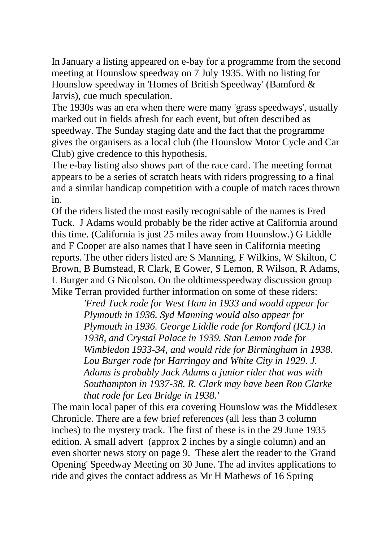In January a listing appeared on e-bay for a programme from the second meeting at Hounslow speedway on 7 July 1935. With no listing for Hounslow speedway in 'Homes of British Speedway' (Bamford & Jarvis), cue much speculation.

The 1930s was an era when there were many 'grass speedways', usually marked out in fields afresh for each event, but often described as speedway. The Sunday staging date and the fact that the programme gives the organisers as a local club (the Hounslow Motor Cycle and Car Club) give credence to this hypothesis.

The e-bay listing also shows part of the race card. The meeting format appears to be a series of scratch heats with riders progressing to a final and a similar handicap competition with a couple of match races thrown in.

Of the riders listed the most easily recognisable of the names is Fred Tuck. J Adams would probably be the rider active at California around this time. (California is just 25 miles away from Hounslow.) G Liddle and F Cooper are also names that I have seen in California meeting reports. The other riders listed are S Manning, F Wilkins, W Skilton, C Brown, B Bumstead, R Clark, E Gower, S Lemon, R Wilson, R Adams, L Burger and G Nicolson. On the oldtimesspeedway discussion group Mike Terran provided further information on some of these riders:

> *'Fred Tuck rode for West Ham in 1933 and would appear for Plymouth in 1936. Syd Manning would also appear for Plymouth in 1936. George Liddle rode for Romford (ICL) in 1938, and Crystal Palace in 1939. Stan Lemon rode for Wimbledon 1933-34, and would ride for Birmingham in 1938. Lou Burger rode for Harringay and White City in 1929. J. Adams is probably Jack Adams a junior rider that was with Southampton in 1937-38. R. Clark may have been Ron Clarke that rode for Lea Bridge in 1938.'*

The main local paper of this era covering Hounslow was the Middlesex Chronicle. There are a few brief references (all less than 3 column inches) to the mystery track. The first of these is in the 29 June 1935 edition. A small advert (approx 2 inches by a single column) and an even shorter news story on page 9. These alert the reader to the 'Grand Opening' Speedway Meeting on 30 June. The ad invites applications to ride and gives the contact address as Mr H Mathews of 16 Spring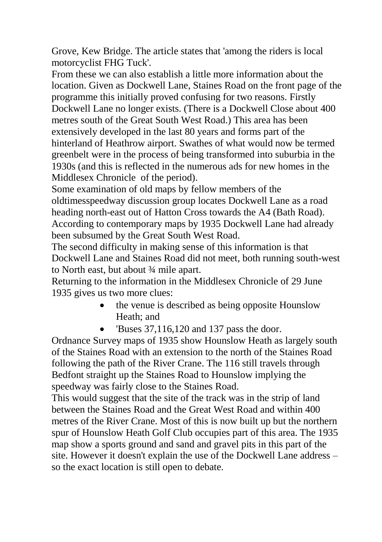Grove, Kew Bridge. The article states that 'among the riders is local motorcyclist FHG Tuck'.

From these we can also establish a little more information about the location. Given as Dockwell Lane, Staines Road on the front page of the programme this initially proved confusing for two reasons. Firstly Dockwell Lane no longer exists. (There is a Dockwell Close about 400 metres south of the Great South West Road.) This area has been extensively developed in the last 80 years and forms part of the hinterland of Heathrow airport. Swathes of what would now be termed greenbelt were in the process of being transformed into suburbia in the 1930s (and this is reflected in the numerous ads for new homes in the Middlesex Chronicle of the period).

Some examination of old maps by fellow members of the oldtimesspeedway discussion group locates Dockwell Lane as a road heading north-east out of Hatton Cross towards the A4 (Bath Road). According to contemporary maps by 1935 Dockwell Lane had already been subsumed by the Great South West Road.

The second difficulty in making sense of this information is that Dockwell Lane and Staines Road did not meet, both running south-west to North east, but about ¾ mile apart.

Returning to the information in the Middlesex Chronicle of 29 June 1935 gives us two more clues:

- the venue is described as being opposite Hounslow Heath; and
- $\bullet$  'Buses 37,116,120 and 137 pass the door.

Ordnance Survey maps of 1935 show Hounslow Heath as largely south of the Staines Road with an extension to the north of the Staines Road following the path of the River Crane. The 116 still travels through Bedfont straight up the Staines Road to Hounslow implying the speedway was fairly close to the Staines Road.

This would suggest that the site of the track was in the strip of land between the Staines Road and the Great West Road and within 400 metres of the River Crane. Most of this is now built up but the northern spur of Hounslow Heath Golf Club occupies part of this area. The 1935 map show a sports ground and sand and gravel pits in this part of the site. However it doesn't explain the use of the Dockwell Lane address – so the exact location is still open to debate.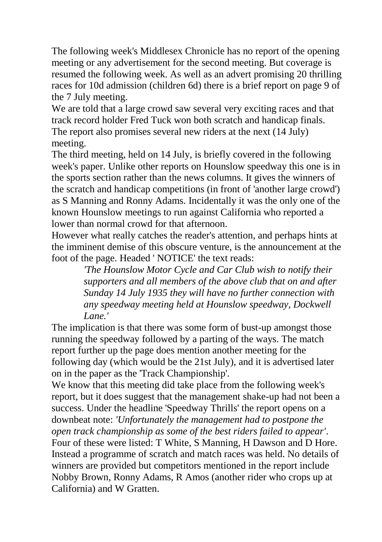The following week's Middlesex Chronicle has no report of the opening meeting or any advertisement for the second meeting. But coverage is resumed the following week. As well as an advert promising 20 thrilling races for 10d admission (children 6d) there is a brief report on page 9 of the 7 July meeting.

We are told that a large crowd saw several very exciting races and that track record holder Fred Tuck won both scratch and handicap finals. The report also promises several new riders at the next (14 July) meeting.

The third meeting, held on 14 July, is briefly covered in the following week's paper. Unlike other reports on Hounslow speedway this one is in the sports section rather than the news columns. It gives the winners of the scratch and handicap competitions (in front of 'another large crowd') as S Manning and Ronny Adams. Incidentally it was the only one of the known Hounslow meetings to run against California who reported a lower than normal crowd for that afternoon.

However what really catches the reader's attention, and perhaps hints at the imminent demise of this obscure venture, is the announcement at the foot of the page. Headed ' NOTICE' the text reads:

> *'The Hounslow Motor Cycle and Car Club wish to notify their supporters and all members of the above club that on and after Sunday 14 July 1935 they will have no further connection with any speedway meeting held at Hounslow speedway, Dockwell Lane.'*

The implication is that there was some form of bust-up amongst those running the speedway followed by a parting of the ways. The match report further up the page does mention another meeting for the following day (which would be the 21st July), and it is advertised later on in the paper as the 'Track Championship'.

We know that this meeting did take place from the following week's report, but it does suggest that the management shake-up had not been a success. Under the headline 'Speedway Thrills' the report opens on a downbeat note: *'Unfortunately the management had to postpone the open track championship as some of the best riders failed to appear'*. Four of these were listed: T White, S Manning, H Dawson and D Hore. Instead a programme of scratch and match races was held. No details of winners are provided but competitors mentioned in the report include Nobby Brown, Ronny Adams, R Amos (another rider who crops up at California) and W Gratten.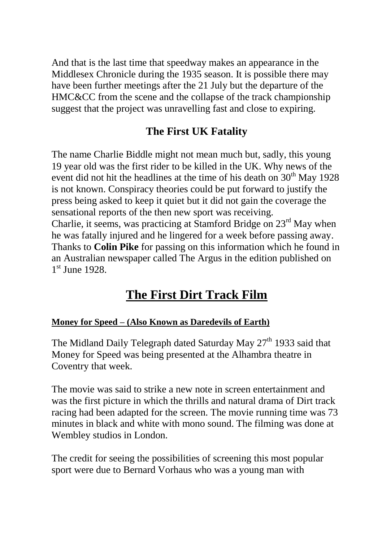And that is the last time that speedway makes an appearance in the Middlesex Chronicle during the 1935 season. It is possible there may have been further meetings after the 21 July but the departure of the HMC&CC from the scene and the collapse of the track championship suggest that the project was unravelling fast and close to expiring.

## **The First UK Fatality**

The name Charlie Biddle might not mean much but, sadly, this young 19 year old was the first rider to be killed in the UK. Why news of the event did not hit the headlines at the time of his death on  $30<sup>th</sup>$  May 1928 is not known. Conspiracy theories could be put forward to justify the press being asked to keep it quiet but it did not gain the coverage the sensational reports of the then new sport was receiving. Charlie, it seems, was practicing at Stamford Bridge on 23<sup>rd</sup> May when he was fatally injured and he lingered for a week before passing away. Thanks to **Colin Pike** for passing on this information which he found in an Australian newspaper called The Argus in the edition published on 1<sup>st</sup> June 1928.

# **The First Dirt Track Film**

### **Money for Speed – (Also Known as Daredevils of Earth)**

The Midland Daily Telegraph dated Saturday May 27<sup>th</sup> 1933 said that Money for Speed was being presented at the Alhambra theatre in Coventry that week.

The movie was said to strike a new note in screen entertainment and was the first picture in which the thrills and natural drama of Dirt track racing had been adapted for the screen. The movie running time was 73 minutes in black and white with mono sound. The filming was done at Wembley studios in London.

The credit for seeing the possibilities of screening this most popular sport were due to Bernard Vorhaus who was a young man with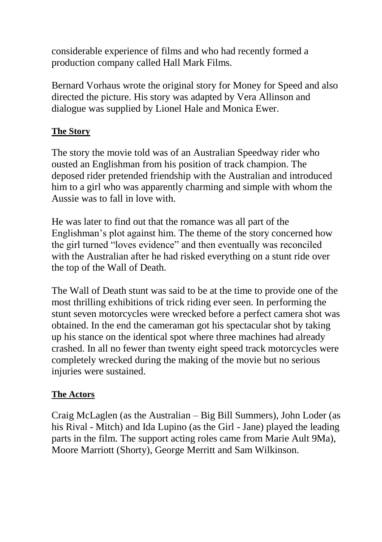considerable experience of films and who had recently formed a production company called Hall Mark Films.

Bernard Vorhaus wrote the original story for Money for Speed and also directed the picture. His story was adapted by Vera Allinson and dialogue was supplied by Lionel Hale and Monica Ewer.

#### **The Story**

The story the movie told was of an Australian Speedway rider who ousted an Englishman from his position of track champion. The deposed rider pretended friendship with the Australian and introduced him to a girl who was apparently charming and simple with whom the Aussie was to fall in love with.

He was later to find out that the romance was all part of the Englishman's plot against him. The theme of the story concerned how the girl turned "loves evidence" and then eventually was reconciled with the Australian after he had risked everything on a stunt ride over the top of the Wall of Death.

The Wall of Death stunt was said to be at the time to provide one of the most thrilling exhibitions of trick riding ever seen. In performing the stunt seven motorcycles were wrecked before a perfect camera shot was obtained. In the end the cameraman got his spectacular shot by taking up his stance on the identical spot where three machines had already crashed. In all no fewer than twenty eight speed track motorcycles were completely wrecked during the making of the movie but no serious injuries were sustained.

### **The Actors**

Craig McLaglen (as the Australian – Big Bill Summers), John Loder (as his Rival - Mitch) and Ida Lupino (as the Girl - Jane) played the leading parts in the film. The support acting roles came from Marie Ault 9Ma), Moore Marriott (Shorty), George Merritt and Sam Wilkinson.